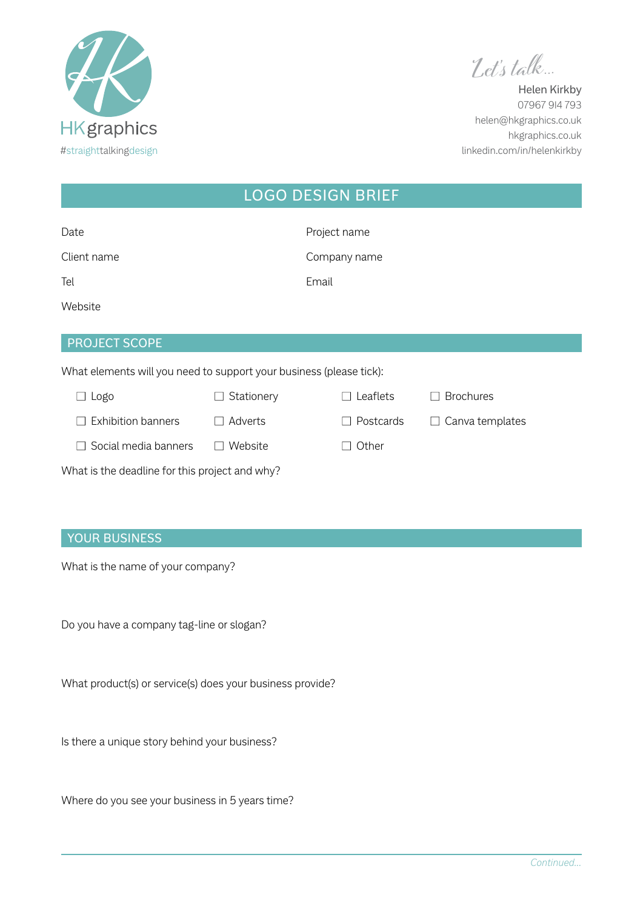

**Let's talk...**

Helen Kirkby 07967 914 793 [helen@hkgraphics.co.uk](mailto:helen%40hkgraphics.co.uk%20?subject=) [hkgraphics.co.uk](http://www.hkgraphics.co.uk) [linkedin.com/in/helenkirkby](http://linkedin.com/in/helenkirkby)

| <b>LOGO DESIGN BRIEF</b> |  |  |
|--------------------------|--|--|
|                          |  |  |

| Date                                                                |            | Project name |                        |  |  |  |
|---------------------------------------------------------------------|------------|--------------|------------------------|--|--|--|
| Client name                                                         |            | Company name |                        |  |  |  |
| Tel                                                                 | Email      |              |                        |  |  |  |
| Website                                                             |            |              |                        |  |  |  |
|                                                                     |            |              |                        |  |  |  |
| <b>PROJECT SCOPE</b>                                                |            |              |                        |  |  |  |
| What elements will you need to support your business (please tick): |            |              |                        |  |  |  |
| Logo                                                                | Stationery | Leaflets     | <b>Brochures</b>       |  |  |  |
| <b>Exhibition banners</b>                                           | Adverts    | Postcards    | $\Box$ Canva templates |  |  |  |
| Social media banners                                                | Website    | Other        |                        |  |  |  |

What is the deadline for this project and why?

# YOUR BUSINESS

What is the name of your company?

Do you have a company tag-line or slogan?

What product(s) or service(s) does your business provide?

Is there a unique story behind your business?

Where do you see your business in 5 years time?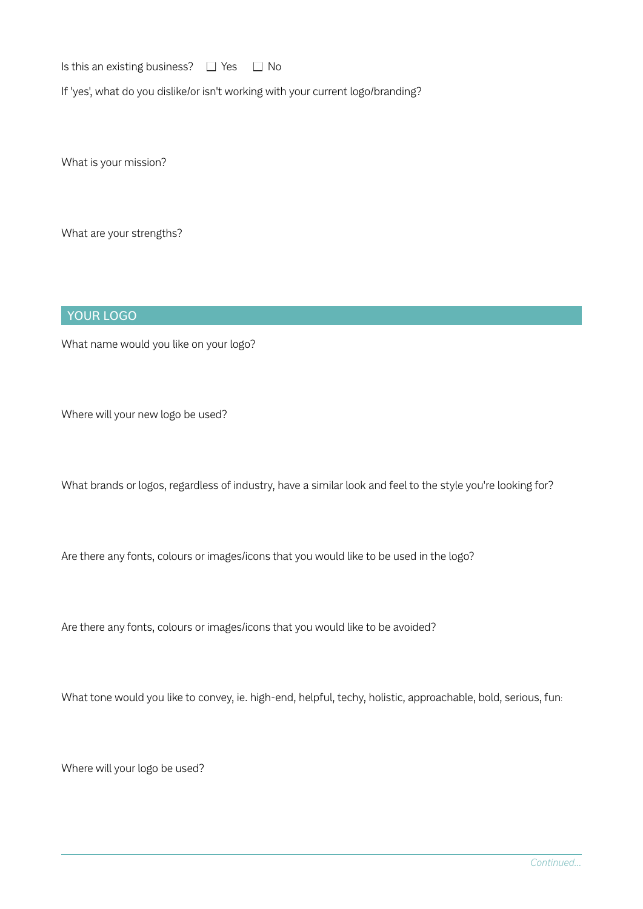Is this an existing business?  $\Box$  Yes  $\Box$  No

If 'yes', what do you dislike/or isn't working with your current logo/branding?

What is your mission?

What are your strengths?

#### YOUR LOGO

What name would you like on your logo?

Where will your new logo be used?

What brands or logos, regardless of industry, have a similar look and feel to the style you're looking for?

Are there any fonts, colours or images/icons that you would like to be used in the logo?

Are there any fonts, colours or images/icons that you would like to be avoided?

What tone would you like to convey, ie. high-end, helpful, techy, holistic, approachable, bold, serious, fun:

Where will your logo be used?